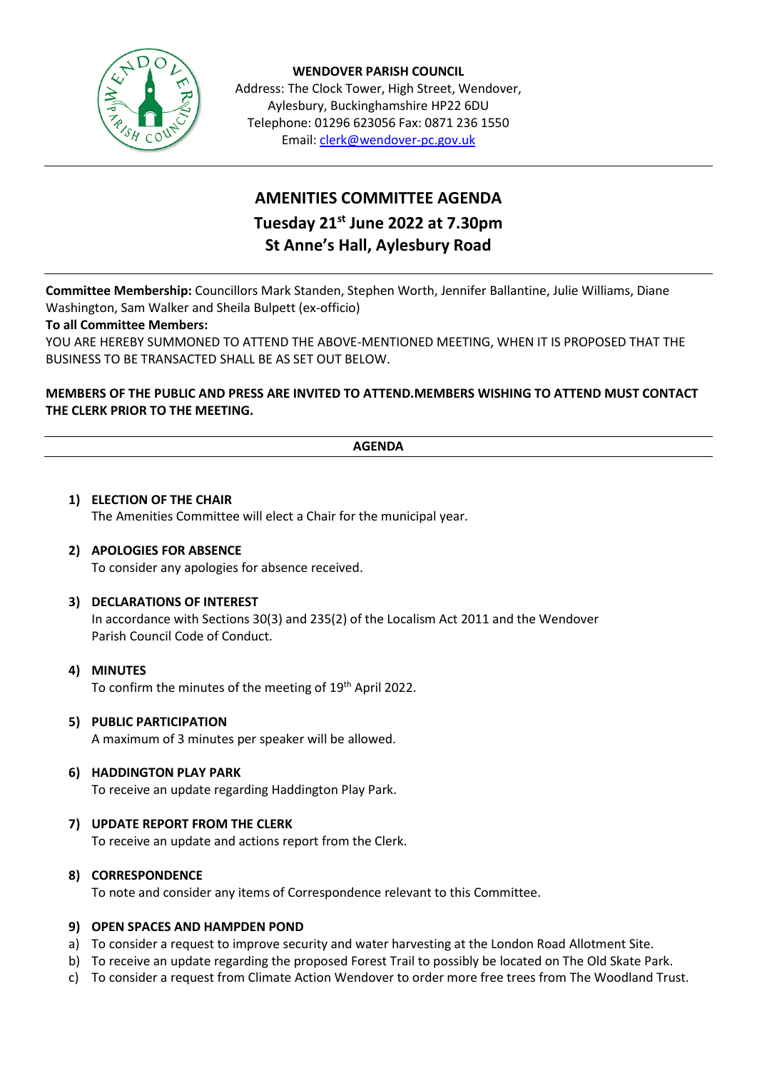

**WENDOVER PARISH COUNCIL** Address: The Clock Tower, High Street, Wendover, Aylesbury, Buckinghamshire HP22 6DU Telephone: 01296 623056 Fax: 0871 236 1550 Email[: clerk@wendover-pc.gov.uk](mailto:clerk@wendover-pc.gov.uk)

# **AMENITIES COMMITTEE AGENDA Tuesday 21st June 2022 at 7.30pm St Anne's Hall, Aylesbury Road**

**Committee Membership:** Councillors Mark Standen, Stephen Worth, Jennifer Ballantine, Julie Williams, Diane Washington, Sam Walker and Sheila Bulpett (ex-officio)

## **To all Committee Members:**

YOU ARE HEREBY SUMMONED TO ATTEND THE ABOVE-MENTIONED MEETING, WHEN IT IS PROPOSED THAT THE BUSINESS TO BE TRANSACTED SHALL BE AS SET OUT BELOW.

## **MEMBERS OF THE PUBLIC AND PRESS ARE INVITED TO ATTEND.MEMBERS WISHING TO ATTEND MUST CONTACT THE CLERK PRIOR TO THE MEETING.**

| <b>ACCAIDA</b><br>ת שי<br>-------- |
|------------------------------------|

## **1) ELECTION OF THE CHAIR** The Amenities Committee will elect a Chair for the municipal year.

## **2) APOLOGIES FOR ABSENCE**

To consider any apologies for absence received.

#### **3) DECLARATIONS OF INTEREST**

In accordance with Sections 30(3) and 235(2) of the Localism Act 2011 and the Wendover Parish Council Code of Conduct.

#### **4) MINUTES**

To confirm the minutes of the meeting of 19<sup>th</sup> April 2022.

#### **5) PUBLIC PARTICIPATION**

A maximum of 3 minutes per speaker will be allowed.

#### **6) HADDINGTON PLAY PARK**

To receive an update regarding Haddington Play Park.

#### **7) UPDATE REPORT FROM THE CLERK**

To receive an update and actions report from the Clerk.

#### **8) CORRESPONDENCE**

To note and consider any items of Correspondence relevant to this Committee.

#### **9) OPEN SPACES AND HAMPDEN POND**

- a) To consider a request to improve security and water harvesting at the London Road Allotment Site.
- b) To receive an update regarding the proposed Forest Trail to possibly be located on The Old Skate Park.
- c) To consider a request from Climate Action Wendover to order more free trees from The Woodland Trust.